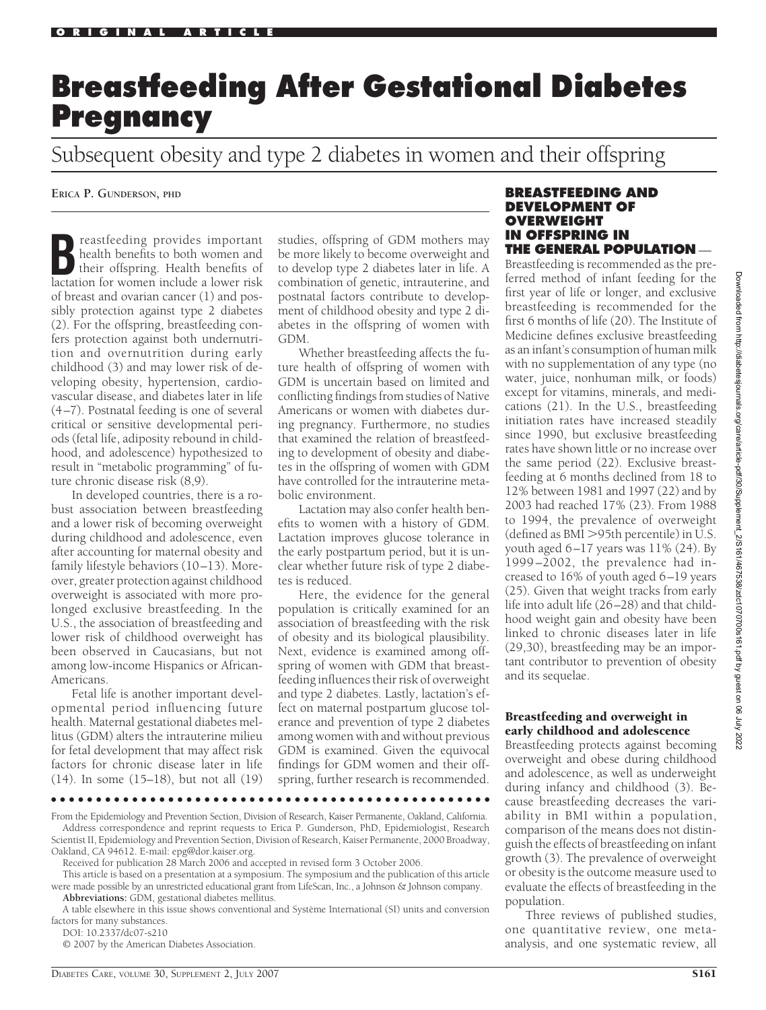# **Breastfeeding After Gestational Diabetes Pregnancy**

Subsequent obesity and type 2 diabetes in women and their offspring

**ERICA P. GUNDERSON, PHD**

**Breastfeeding provides important**<br>
their offspring. Health benefits of<br>
lactation for women include a lower risk health benefits to both women and lactation for women include a lower risk of breast and ovarian cancer (1) and possibly protection against type 2 diabetes (2). For the offspring, breastfeeding confers protection against both undernutrition and overnutrition during early childhood (3) and may lower risk of developing obesity, hypertension, cardiovascular disease, and diabetes later in life (4 –7). Postnatal feeding is one of several critical or sensitive developmental periods (fetal life, adiposity rebound in childhood, and adolescence) hypothesized to result in "metabolic programming" of future chronic disease risk (8,9).

In developed countries, there is a robust association between breastfeeding and a lower risk of becoming overweight during childhood and adolescence, even after accounting for maternal obesity and family lifestyle behaviors (10-13). Moreover, greater protection against childhood overweight is associated with more prolonged exclusive breastfeeding. In the U.S., the association of breastfeeding and lower risk of childhood overweight has been observed in Caucasians, but not among low-income Hispanics or African-Americans.

Fetal life is another important developmental period influencing future health. Maternal gestational diabetes mellitus (GDM) alters the intrauterine milieu for fetal development that may affect risk factors for chronic disease later in life (14). In some (15–18), but not all (19)

studies, offspring of GDM mothers may be more likely to become overweight and to develop type 2 diabetes later in life. A combination of genetic, intrauterine, and postnatal factors contribute to development of childhood obesity and type 2 diabetes in the offspring of women with GDM.

Whether breastfeeding affects the future health of offspring of women with GDM is uncertain based on limited and conflicting findings from studies of Native Americans or women with diabetes during pregnancy. Furthermore, no studies that examined the relation of breastfeeding to development of obesity and diabetes in the offspring of women with GDM have controlled for the intrauterine metabolic environment.

Lactation may also confer health benefits to women with a history of GDM. Lactation improves glucose tolerance in the early postpartum period, but it is unclear whether future risk of type 2 diabetes is reduced.

Here, the evidence for the general population is critically examined for an association of breastfeeding with the risk of obesity and its biological plausibility. Next, evidence is examined among offspring of women with GDM that breastfeeding influences their risk of overweight and type 2 diabetes. Lastly, lactation's effect on maternal postpartum glucose tolerance and prevention of type 2 diabetes among women with and without previous GDM is examined. Given the equivocal findings for GDM women and their offspring, further research is recommended.

#### **BREASTFEEDING AND DEVELOPMENT OF OVERWEIGHT IN OFFSPRING IN THE GENERAL POPULATION** —

Breastfeeding is recommended as the preferred method of infant feeding for the first year of life or longer, and exclusive breastfeeding is recommended for the first 6 months of life (20). The Institute of Medicine defines exclusive breastfeeding as an infant's consumption of human milk with no supplementation of any type (no water, juice, nonhuman milk, or foods) except for vitamins, minerals, and medications (21). In the U.S., breastfeeding initiation rates have increased steadily since 1990, but exclusive breastfeeding rates have shown little or no increase over the same period (22). Exclusive breastfeeding at 6 months declined from 18 to 12% between 1981 and 1997 (22) and by 2003 had reached 17% (23). From 1988 to 1994, the prevalence of overweight  $(defined as BMI > 95th percentile)$  in U.S. youth aged  $6-17$  years was  $11\%$  (24). By 1999 –2002, the prevalence had increased to 16% of youth aged 6 –19 years (25). Given that weight tracks from early life into adult life (26 –28) and that childhood weight gain and obesity have been linked to chronic diseases later in life (29,30), breastfeeding may be an important contributor to prevention of obesity and its sequelae.

# Breastfeeding and overweight in early childhood and adolescence

Breastfeeding protects against becoming overweight and obese during childhood and adolescence, as well as underweight during infancy and childhood (3). Because breastfeeding decreases the variability in BMI within a population, comparison of the means does not distinguish the effects of breastfeeding on infant growth (3). The prevalence of overweight or obesity is the outcome measure used to evaluate the effects of breastfeeding in the population.

Three reviews of published studies, one quantitative review, one metaanalysis, and one systematic review, all

●●●●●●●●●●●●●●●●●●●●●●●●●●●●●●●●●●●●●●●●●●●●●●●●●

DOI: 10.2337/dc07-s210

© 2007 by the American Diabetes Association.

From the Epidemiology and Prevention Section, Division of Research, Kaiser Permanente, Oakland, California. Address correspondence and reprint requests to Erica P. Gunderson, PhD, Epidemiologist, Research Scientist II, Epidemiology and Prevention Section, Division of Research, Kaiser Permanente, 2000 Broadway, Oakland, CA 94612. E-mail: epg@dor.kaiser.org.

Received for publication 28 March 2006 and accepted in revised form 3 October 2006.

This article is based on a presentation at a symposium. The symposium and the publication of this article were made possible by an unrestricted educational grant from LifeScan, Inc., a Johnson & Johnson company. **Abbreviations:** GDM, gestational diabetes mellitus.

A table elsewhere in this issue shows conventional and Système International (SI) units and conversion factors for many substances.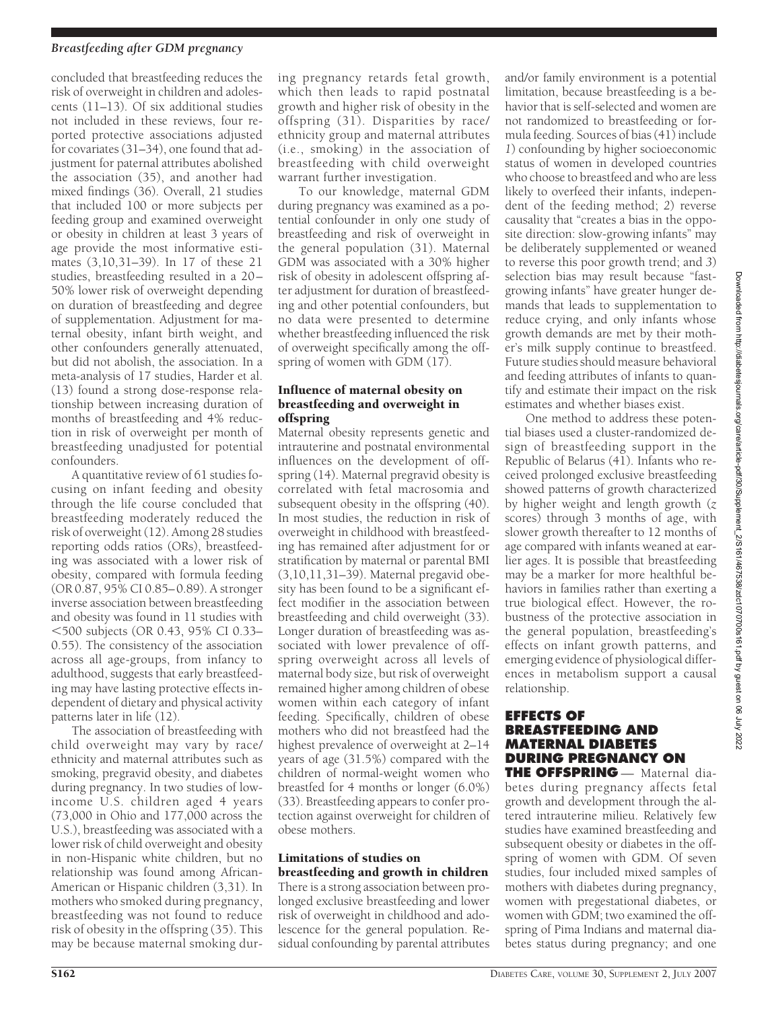# *Breastfeeding after GDM pregnancy*

concluded that breastfeeding reduces the risk of overweight in children and adolescents (11–13). Of six additional studies not included in these reviews, four reported protective associations adjusted for covariates (31–34), one found that adjustment for paternal attributes abolished the association (35), and another had mixed findings (36). Overall, 21 studies that included 100 or more subjects per feeding group and examined overweight or obesity in children at least 3 years of age provide the most informative estimates (3,10,31–39). In 17 of these 21 studies, breastfeeding resulted in a 20 – 50% lower risk of overweight depending on duration of breastfeeding and degree of supplementation. Adjustment for maternal obesity, infant birth weight, and other confounders generally attenuated, but did not abolish, the association. In a meta-analysis of 17 studies, Harder et al. (13) found a strong dose-response relationship between increasing duration of months of breastfeeding and 4% reduction in risk of overweight per month of breastfeeding unadjusted for potential confounders.

A quantitative review of 61 studies focusing on infant feeding and obesity through the life course concluded that breastfeeding moderately reduced the risk of overweight (12). Among 28 studies reporting odds ratios (ORs), breastfeeding was associated with a lower risk of obesity, compared with formula feeding (OR 0.87, 95% CI 0.85– 0.89). A stronger inverse association between breastfeeding and obesity was found in 11 studies with -500 subjects (OR 0.43, 95% CI 0.33– 0.55). The consistency of the association across all age-groups, from infancy to adulthood, suggests that early breastfeeding may have lasting protective effects independent of dietary and physical activity patterns later in life (12).

The association of breastfeeding with child overweight may vary by race/ ethnicity and maternal attributes such as smoking, pregravid obesity, and diabetes during pregnancy. In two studies of lowincome U.S. children aged 4 years (73,000 in Ohio and 177,000 across the U.S.), breastfeeding was associated with a lower risk of child overweight and obesity in non-Hispanic white children, but no relationship was found among African-American or Hispanic children (3,31). In mothers who smoked during pregnancy, breastfeeding was not found to reduce risk of obesity in the offspring (35). This may be because maternal smoking during pregnancy retards fetal growth, which then leads to rapid postnatal growth and higher risk of obesity in the offspring (31). Disparities by race/ ethnicity group and maternal attributes (i.e., smoking) in the association of breastfeeding with child overweight warrant further investigation.

To our knowledge, maternal GDM during pregnancy was examined as a potential confounder in only one study of breastfeeding and risk of overweight in the general population (31). Maternal GDM was associated with a 30% higher risk of obesity in adolescent offspring after adjustment for duration of breastfeeding and other potential confounders, but no data were presented to determine whether breastfeeding influenced the risk of overweight specifically among the offspring of women with GDM (17).

#### Influence of maternal obesity on breastfeeding and overweight in offspring

Maternal obesity represents genetic and intrauterine and postnatal environmental influences on the development of offspring (14). Maternal pregravid obesity is correlated with fetal macrosomia and subsequent obesity in the offspring (40). In most studies, the reduction in risk of overweight in childhood with breastfeeding has remained after adjustment for or stratification by maternal or parental BMI (3,10,11,31–39). Maternal pregavid obesity has been found to be a significant effect modifier in the association between breastfeeding and child overweight (33). Longer duration of breastfeeding was associated with lower prevalence of offspring overweight across all levels of maternal body size, but risk of overweight remained higher among children of obese women within each category of infant feeding. Specifically, children of obese mothers who did not breastfeed had the highest prevalence of overweight at 2–14 years of age (31.5%) compared with the children of normal-weight women who breastfed for 4 months or longer (6.0%) (33). Breastfeeding appears to confer protection against overweight for children of obese mothers.

# Limitations of studies on breastfeeding and growth in children

There is a strong association between prolonged exclusive breastfeeding and lower risk of overweight in childhood and adolescence for the general population. Residual confounding by parental attributes

and/or family environment is a potential limitation, because breastfeeding is a behavior that is self-selected and women are not randomized to breastfeeding or formula feeding. Sources of bias  $(41)$  include *1*) confounding by higher socioeconomic status of women in developed countries who choose to breastfeed and who are less likely to overfeed their infants, independent of the feeding method; *2*) reverse causality that "creates a bias in the opposite direction: slow-growing infants" may be deliberately supplemented or weaned to reverse this poor growth trend; and *3*) selection bias may result because "fastgrowing infants" have greater hunger demands that leads to supplementation to reduce crying, and only infants whose growth demands are met by their mother's milk supply continue to breastfeed. Future studies should measure behavioral and feeding attributes of infants to quantify and estimate their impact on the risk estimates and whether biases exist.

One method to address these potential biases used a cluster-randomized design of breastfeeding support in the Republic of Belarus (41). Infants who received prolonged exclusive breastfeeding showed patterns of growth characterized by higher weight and length growth (*z* scores) through 3 months of age, with slower growth thereafter to 12 months of age compared with infants weaned at earlier ages. It is possible that breastfeeding may be a marker for more healthful behaviors in families rather than exerting a true biological effect. However, the robustness of the protective association in the general population, breastfeeding's effects on infant growth patterns, and emerging evidence of physiological differences in metabolism support a causal relationship.

#### **EFFECTS OF BREASTFEEDING AND MATERNAL DIABETES DURING PREGNANCY ON THE OFFSPRING** — Maternal dia-

betes during pregnancy affects fetal growth and development through the altered intrauterine milieu. Relatively few studies have examined breastfeeding and subsequent obesity or diabetes in the offspring of women with GDM. Of seven studies, four included mixed samples of mothers with diabetes during pregnancy, women with pregestational diabetes, or women with GDM; two examined the offspring of Pima Indians and maternal diabetes status during pregnancy; and one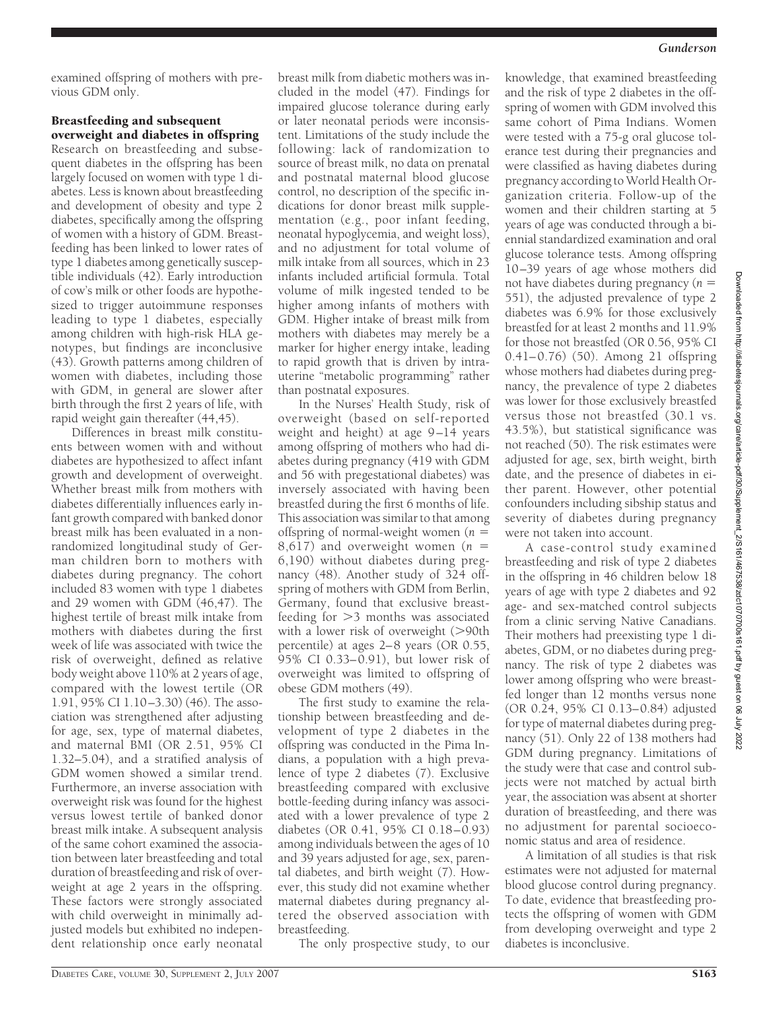examined offspring of mothers with previous GDM only.

# Breastfeeding and subsequent overweight and diabetes in offspring

Research on breastfeeding and subsequent diabetes in the offspring has been largely focused on women with type 1 diabetes. Less is known about breastfeeding and development of obesity and type 2 diabetes, specifically among the offspring of women with a history of GDM. Breastfeeding has been linked to lower rates of type 1 diabetes among genetically susceptible individuals (42). Early introduction of cow's milk or other foods are hypothesized to trigger autoimmune responses leading to type 1 diabetes, especially among children with high-risk HLA genotypes, but findings are inconclusive (43). Growth patterns among children of women with diabetes, including those with GDM, in general are slower after birth through the first 2 years of life, with rapid weight gain thereafter (44,45).

Differences in breast milk constituents between women with and without diabetes are hypothesized to affect infant growth and development of overweight. Whether breast milk from mothers with diabetes differentially influences early infant growth compared with banked donor breast milk has been evaluated in a nonrandomized longitudinal study of German children born to mothers with diabetes during pregnancy. The cohort included 83 women with type 1 diabetes and 29 women with GDM (46,47). The highest tertile of breast milk intake from mothers with diabetes during the first week of life was associated with twice the risk of overweight, defined as relative body weight above 110% at 2 years of age, compared with the lowest tertile (OR 1.91, 95% CI 1.10 –3.30) (46). The association was strengthened after adjusting for age, sex, type of maternal diabetes, and maternal BMI (OR 2.51, 95% CI 1.32–5.04), and a stratified analysis of GDM women showed a similar trend. Furthermore, an inverse association with overweight risk was found for the highest versus lowest tertile of banked donor breast milk intake. A subsequent analysis of the same cohort examined the association between later breastfeeding and total duration of breastfeeding and risk of overweight at age 2 years in the offspring. These factors were strongly associated with child overweight in minimally adjusted models but exhibited no independent relationship once early neonatal

breast milk from diabetic mothers was included in the model (47). Findings for impaired glucose tolerance during early or later neonatal periods were inconsistent. Limitations of the study include the following: lack of randomization to source of breast milk, no data on prenatal and postnatal maternal blood glucose control, no description of the specific indications for donor breast milk supplementation (e.g., poor infant feeding, neonatal hypoglycemia, and weight loss), and no adjustment for total volume of milk intake from all sources, which in 23 infants included artificial formula. Total volume of milk ingested tended to be higher among infants of mothers with GDM. Higher intake of breast milk from mothers with diabetes may merely be a marker for higher energy intake, leading to rapid growth that is driven by intrauterine "metabolic programming" rather than postnatal exposures.

In the Nurses' Health Study, risk of overweight (based on self-reported weight and height) at age  $9-14$  years among offspring of mothers who had diabetes during pregnancy (419 with GDM and 56 with pregestational diabetes) was inversely associated with having been breastfed during the first 6 months of life. This association was similar to that among offspring of normal-weight women (*n* 8,617) and overweight women (*n* 6,190) without diabetes during pregnancy (48). Another study of 324 offspring of mothers with GDM from Berlin, Germany, found that exclusive breastfeeding for  $>3$  months was associated with a lower risk of overweight  $(>90$ th percentile) at ages 2– 8 years (OR 0.55, 95% CI 0.33– 0.91), but lower risk of overweight was limited to offspring of obese GDM mothers (49).

The first study to examine the relationship between breastfeeding and development of type 2 diabetes in the offspring was conducted in the Pima Indians, a population with a high prevalence of type 2 diabetes (7). Exclusive breastfeeding compared with exclusive bottle-feeding during infancy was associated with a lower prevalence of type 2 diabetes (OR 0.41,  $95\%$  CI 0.18 $-0.93$ ) among individuals between the ages of 10 and 39 years adjusted for age, sex, parental diabetes, and birth weight (7). However, this study did not examine whether maternal diabetes during pregnancy altered the observed association with breastfeeding.

The only prospective study, to our

knowledge, that examined breastfeeding and the risk of type 2 diabetes in the offspring of women with GDM involved this same cohort of Pima Indians. Women were tested with a 75-g oral glucose tolerance test during their pregnancies and were classified as having diabetes during pregnancy according to World Health Organization criteria. Follow-up of the women and their children starting at 5 years of age was conducted through a biennial standardized examination and oral glucose tolerance tests. Among offspring 10 –39 years of age whose mothers did not have diabetes during pregnancy (*n* 551), the adjusted prevalence of type 2 diabetes was 6.9% for those exclusively breastfed for at least 2 months and 11.9% for those not breastfed (OR 0.56, 95% CI 0.41–0.76) (50). Among 21 offspring whose mothers had diabetes during pregnancy, the prevalence of type 2 diabetes was lower for those exclusively breastfed versus those not breastfed (30.1 vs. 43.5%), but statistical significance was not reached (50). The risk estimates were adjusted for age, sex, birth weight, birth date, and the presence of diabetes in either parent. However, other potential confounders including sibship status and severity of diabetes during pregnancy were not taken into account.

A case-control study examined breastfeeding and risk of type 2 diabetes in the offspring in 46 children below 18 years of age with type 2 diabetes and 92 age- and sex-matched control subjects from a clinic serving Native Canadians. Their mothers had preexisting type 1 diabetes, GDM, or no diabetes during pregnancy. The risk of type 2 diabetes was lower among offspring who were breastfed longer than 12 months versus none (OR 0.24, 95% CI 0.13– 0.84) adjusted for type of maternal diabetes during pregnancy (51). Only 22 of 138 mothers had GDM during pregnancy. Limitations of the study were that case and control subjects were not matched by actual birth year, the association was absent at shorter duration of breastfeeding, and there was no adjustment for parental socioeconomic status and area of residence.

A limitation of all studies is that risk estimates were not adjusted for maternal blood glucose control during pregnancy. To date, evidence that breastfeeding protects the offspring of women with GDM from developing overweight and type 2 diabetes is inconclusive.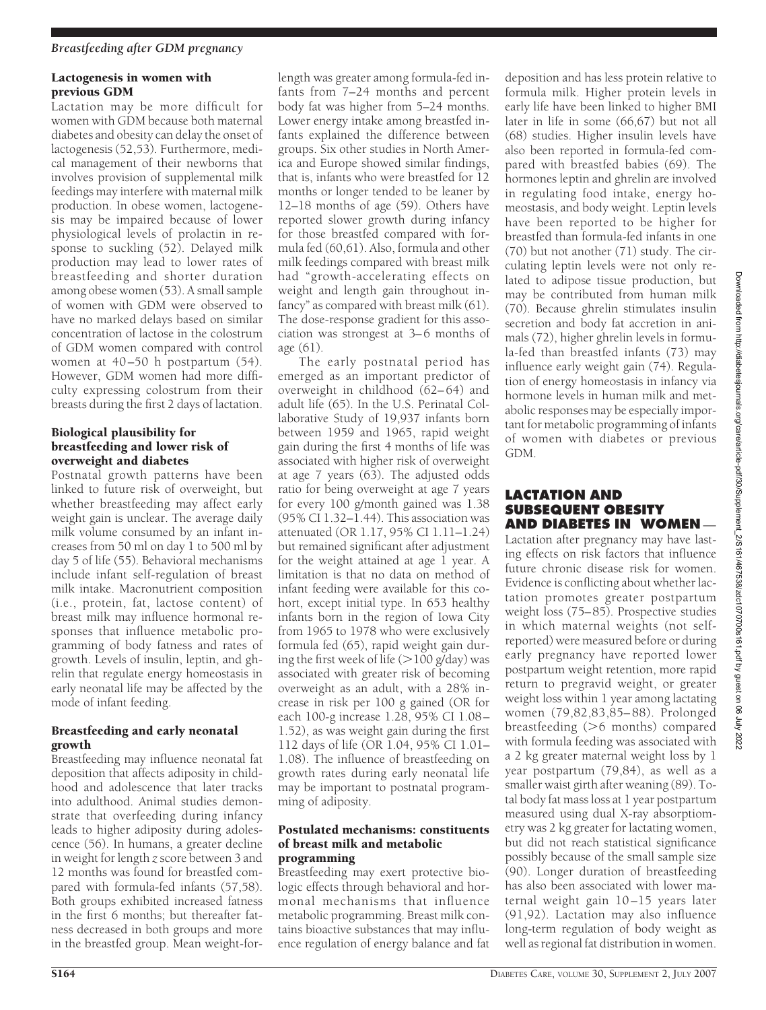# Lactogenesis in women with previous GDM

Lactation may be more difficult for women with GDM because both maternal diabetes and obesity can delay the onset of lactogenesis (52,53). Furthermore, medical management of their newborns that involves provision of supplemental milk feedings may interfere with maternal milk production. In obese women, lactogenesis may be impaired because of lower physiological levels of prolactin in response to suckling (52). Delayed milk production may lead to lower rates of breastfeeding and shorter duration among obese women (53). A small sample of women with GDM were observed to have no marked delays based on similar concentration of lactose in the colostrum of GDM women compared with control women at 40-50 h postpartum (54). However, GDM women had more difficulty expressing colostrum from their breasts during the first 2 days of lactation.

# Biological plausibility for breastfeeding and lower risk of overweight and diabetes

Postnatal growth patterns have been linked to future risk of overweight, but whether breastfeeding may affect early weight gain is unclear. The average daily milk volume consumed by an infant increases from 50 ml on day 1 to 500 ml by day 5 of life (55). Behavioral mechanisms include infant self-regulation of breast milk intake. Macronutrient composition (i.e., protein, fat, lactose content) of breast milk may influence hormonal responses that influence metabolic programming of body fatness and rates of growth. Levels of insulin, leptin, and ghrelin that regulate energy homeostasis in early neonatal life may be affected by the mode of infant feeding.

# Breastfeeding and early neonatal growth

Breastfeeding may influence neonatal fat deposition that affects adiposity in childhood and adolescence that later tracks into adulthood. Animal studies demonstrate that overfeeding during infancy leads to higher adiposity during adolescence (56). In humans, a greater decline in weight for length *z* score between 3 and 12 months was found for breastfed compared with formula-fed infants (57,58). Both groups exhibited increased fatness in the first 6 months; but thereafter fatness decreased in both groups and more in the breastfed group. Mean weight-for-

length was greater among formula-fed infants from 7–24 months and percent body fat was higher from 5–24 months. Lower energy intake among breastfed infants explained the difference between groups. Six other studies in North America and Europe showed similar findings, that is, infants who were breastfed for 12 months or longer tended to be leaner by 12–18 months of age (59). Others have reported slower growth during infancy for those breastfed compared with formula fed (60,61). Also, formula and other milk feedings compared with breast milk had "growth-accelerating effects on weight and length gain throughout infancy" as compared with breast milk (61). The dose-response gradient for this association was strongest at 3–6 months of age (61).

The early postnatal period has emerged as an important predictor of overweight in childhood (62– 64) and adult life (65). In the U.S. Perinatal Collaborative Study of 19,937 infants born between 1959 and 1965, rapid weight gain during the first 4 months of life was associated with higher risk of overweight at age 7 years (63). The adjusted odds ratio for being overweight at age 7 years for every 100 g/month gained was 1.38  $(95\% \tilde{CI} 1.32 - I.44)$ . This association was attenuated (OR 1.17, 95% CI 1.11–1.24) but remained significant after adjustment for the weight attained at age 1 year. A limitation is that no data on method of infant feeding were available for this cohort, except initial type. In 653 healthy infants born in the region of Iowa City from 1965 to 1978 who were exclusively formula fed (65), rapid weight gain during the first week of life  $(>100 \text{ g/day})$  was associated with greater risk of becoming overweight as an adult, with a 28% increase in risk per 100 g gained (OR for each 100-g increase 1.28, 95% CI 1.08 – 1.52), as was weight gain during the first 112 days of life (OR 1.04, 95% CI 1.01– 1.08). The influence of breastfeeding on growth rates during early neonatal life may be important to postnatal programming of adiposity.

# Postulated mechanisms: constituents of breast milk and metabolic programming

Breastfeeding may exert protective biologic effects through behavioral and hormonal mechanisms that influence metabolic programming. Breast milk contains bioactive substances that may influence regulation of energy balance and fat

deposition and has less protein relative to formula milk. Higher protein levels in early life have been linked to higher BMI later in life in some (66,67) but not all (68) studies. Higher insulin levels have also been reported in formula-fed compared with breastfed babies (69). The hormones leptin and ghrelin are involved in regulating food intake, energy homeostasis, and body weight. Leptin levels have been reported to be higher for breastfed than formula-fed infants in one (70) but not another (71) study. The circulating leptin levels were not only related to adipose tissue production, but may be contributed from human milk (70). Because ghrelin stimulates insulin secretion and body fat accretion in animals (72), higher ghrelin levels in formula-fed than breastfed infants (73) may influence early weight gain (74). Regulation of energy homeostasis in infancy via hormone levels in human milk and metabolic responses may be especially important for metabolic programming of infants of women with diabetes or previous GDM.

# **LACTATION AND SUBSEQUENT OBESITY AND DIABETES IN WOMEN**

Lactation after pregnancy may have lasting effects on risk factors that influence future chronic disease risk for women. Evidence is conflicting about whether lactation promotes greater postpartum weight loss (75–85). Prospective studies in which maternal weights (not selfreported) were measured before or during early pregnancy have reported lower postpartum weight retention, more rapid return to pregravid weight, or greater weight loss within 1 year among lactating women (79,82,83,85– 88). Prolonged breastfeeding  $(>6$  months) compared with formula feeding was associated with a 2 kg greater maternal weight loss by 1 year postpartum (79,84), as well as a smaller waist girth after weaning (89). Total body fat mass loss at 1 year postpartum measured using dual X-ray absorptiometry was 2 kg greater for lactating women, but did not reach statistical significance possibly because of the small sample size (90). Longer duration of breastfeeding has also been associated with lower maternal weight gain 10 –15 years later (91,92). Lactation may also influence long-term regulation of body weight as well as regional fat distribution in women.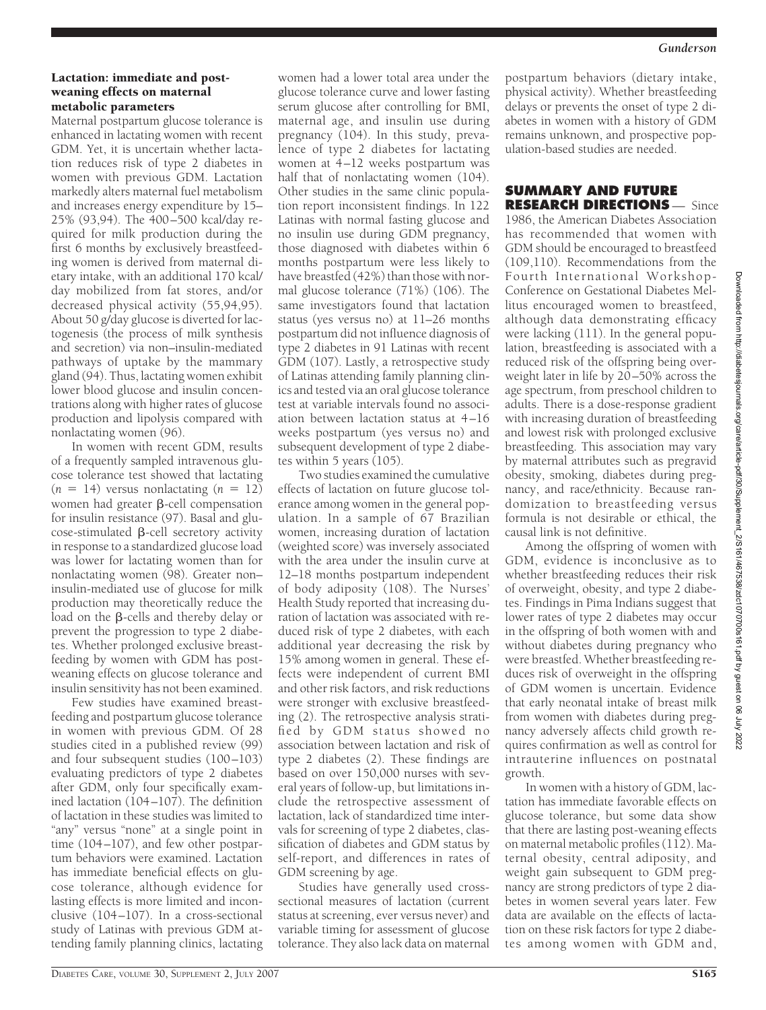#### Lactation: immediate and postweaning effects on maternal metabolic parameters

Maternal postpartum glucose tolerance is enhanced in lactating women with recent GDM. Yet, it is uncertain whether lactation reduces risk of type 2 diabetes in women with previous GDM. Lactation markedly alters maternal fuel metabolism and increases energy expenditure by 15– 25% (93,94). The 400 –500 kcal/day required for milk production during the first 6 months by exclusively breastfeeding women is derived from maternal dietary intake, with an additional 170 kcal/ day mobilized from fat stores, and/or decreased physical activity (55,94,95). About 50 g/day glucose is diverted for lactogenesis (the process of milk synthesis and secretion) via non–insulin-mediated pathways of uptake by the mammary gland (94). Thus, lactating women exhibit lower blood glucose and insulin concentrations along with higher rates of glucose production and lipolysis compared with nonlactating women (96).

In women with recent GDM, results of a frequently sampled intravenous glucose tolerance test showed that lactating  $(n = 14)$  versus nonlactating  $(n = 12)$ women had greater  $\beta$ -cell compensation for insulin resistance (97). Basal and glu- $\csc$ -stimulated  $\beta$ -cell secretory activity in response to a standardized glucose load was lower for lactating women than for nonlactating women (98). Greater non– insulin-mediated use of glucose for milk production may theoretically reduce the load on the  $\beta$ -cells and thereby delay or prevent the progression to type 2 diabetes. Whether prolonged exclusive breastfeeding by women with GDM has postweaning effects on glucose tolerance and insulin sensitivity has not been examined.

Few studies have examined breastfeeding and postpartum glucose tolerance in women with previous GDM. Of 28 studies cited in a published review (99) and four subsequent studies (100 –103) evaluating predictors of type 2 diabetes after GDM, only four specifically examined lactation (104 –107). The definition of lactation in these studies was limited to "any" versus "none" at a single point in time (104 –107), and few other postpartum behaviors were examined. Lactation has immediate beneficial effects on glucose tolerance, although evidence for lasting effects is more limited and inconclusive (104 –107). In a cross-sectional study of Latinas with previous GDM attending family planning clinics, lactating

women had a lower total area under the glucose tolerance curve and lower fasting serum glucose after controlling for BMI, maternal age, and insulin use during pregnancy (104). In this study, prevalence of type 2 diabetes for lactating women at 4-12 weeks postpartum was half that of nonlactating women (104). Other studies in the same clinic population report inconsistent findings. In 122 Latinas with normal fasting glucose and no insulin use during GDM pregnancy, those diagnosed with diabetes within 6 months postpartum were less likely to have breastfed (42%) than those with normal glucose tolerance (71%) (106). The same investigators found that lactation status (yes versus no) at 11–26 months postpartum did not influence diagnosis of type 2 diabetes in 91 Latinas with recent GDM (107). Lastly, a retrospective study of Latinas attending family planning clinics and tested via an oral glucose tolerance test at variable intervals found no association between lactation status at 4 –16 weeks postpartum (yes versus no) and subsequent development of type 2 diabetes within 5 years (105).

Two studies examined the cumulative effects of lactation on future glucose tolerance among women in the general population. In a sample of 67 Brazilian women, increasing duration of lactation (weighted score) was inversely associated with the area under the insulin curve at 12–18 months postpartum independent of body adiposity (108). The Nurses' Health Study reported that increasing duration of lactation was associated with reduced risk of type 2 diabetes, with each additional year decreasing the risk by 15% among women in general. These effects were independent of current BMI and other risk factors, and risk reductions were stronger with exclusive breastfeeding (2). The retrospective analysis stratified by GDM status showed no association between lactation and risk of type 2 diabetes (2). These findings are based on over 150,000 nurses with several years of follow-up, but limitations include the retrospective assessment of lactation, lack of standardized time intervals for screening of type 2 diabetes, classification of diabetes and GDM status by self-report, and differences in rates of GDM screening by age.

Studies have generally used crosssectional measures of lactation (current status at screening, ever versus never) and variable timing for assessment of glucose tolerance. They also lack data on maternal postpartum behaviors (dietary intake, physical activity). Whether breastfeeding delays or prevents the onset of type 2 diabetes in women with a history of GDM remains unknown, and prospective population-based studies are needed.

# **SUMMARY AND FUTURE RESEARCH DIRECTIONS** — Since

1986, the American Diabetes Association has recommended that women with GDM should be encouraged to breastfeed (109,110). Recommendations from the Fourth International Workshop-Conference on Gestational Diabetes Mellitus encouraged women to breastfeed, although data demonstrating efficacy were lacking (111). In the general population, breastfeeding is associated with a reduced risk of the offspring being overweight later in life by 20–50% across the age spectrum, from preschool children to adults. There is a dose-response gradient with increasing duration of breastfeeding and lowest risk with prolonged exclusive breastfeeding. This association may vary by maternal attributes such as pregravid obesity, smoking, diabetes during pregnancy, and race/ethnicity. Because randomization to breastfeeding versus formula is not desirable or ethical, the causal link is not definitive.

Among the offspring of women with GDM, evidence is inconclusive as to whether breastfeeding reduces their risk of overweight, obesity, and type 2 diabetes. Findings in Pima Indians suggest that lower rates of type 2 diabetes may occur in the offspring of both women with and without diabetes during pregnancy who were breastfed. Whether breastfeeding reduces risk of overweight in the offspring of GDM women is uncertain. Evidence that early neonatal intake of breast milk from women with diabetes during pregnancy adversely affects child growth requires confirmation as well as control for intrauterine influences on postnatal growth.

In women with a history of GDM, lactation has immediate favorable effects on glucose tolerance, but some data show that there are lasting post-weaning effects on maternal metabolic profiles (112). Maternal obesity, central adiposity, and weight gain subsequent to GDM pregnancy are strong predictors of type 2 diabetes in women several years later. Few data are available on the effects of lactation on these risk factors for type 2 diabetes among women with GDM and,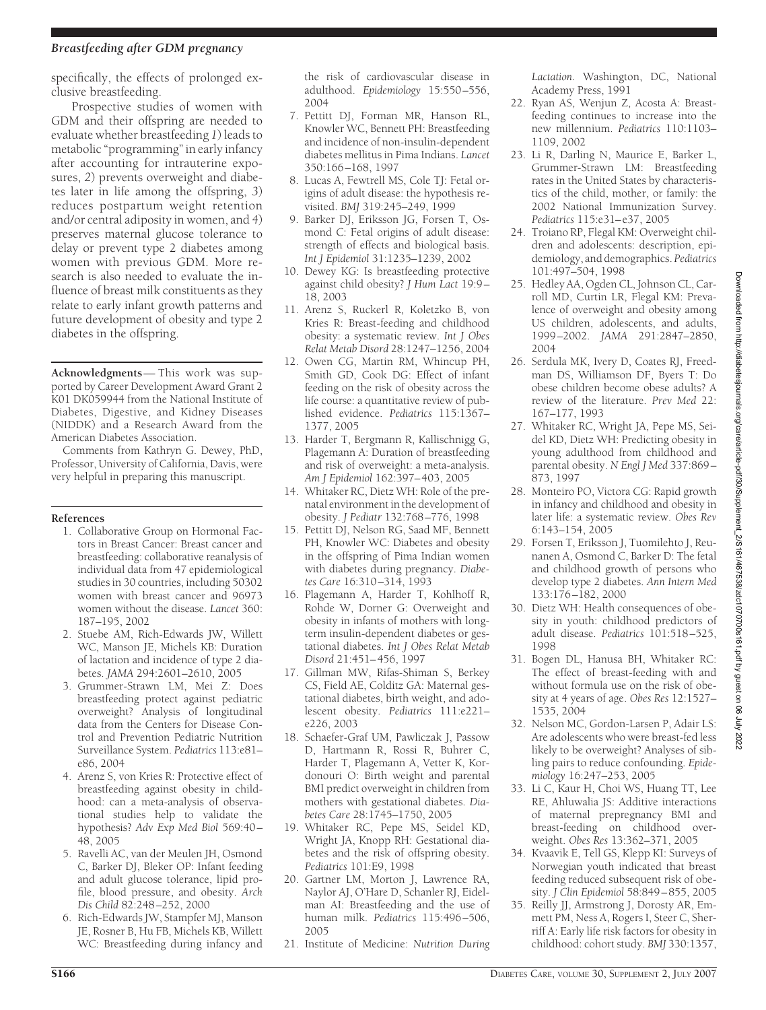# *Breastfeeding after GDM pregnancy*

specifically, the effects of prolonged exclusive breastfeeding.

Prospective studies of women with GDM and their offspring are needed to evaluate whether breastfeeding *1*) leads to metabolic "programming" in early infancy after accounting for intrauterine exposures, *2*) prevents overweight and diabetes later in life among the offspring, *3*) reduces postpartum weight retention and/or central adiposity in women, and *4*) preserves maternal glucose tolerance to delay or prevent type 2 diabetes among women with previous GDM. More research is also needed to evaluate the influence of breast milk constituents as they relate to early infant growth patterns and future development of obesity and type 2 diabetes in the offspring.

**Acknowledgments**— This work was supported by Career Development Award Grant 2 K01 DK059944 from the National Institute of Diabetes, Digestive, and Kidney Diseases (NIDDK) and a Research Award from the American Diabetes Association.

Comments from Kathryn G. Dewey, PhD, Professor, University of California, Davis, were very helpful in preparing this manuscript.

#### **References**

- 1. Collaborative Group on Hormonal Factors in Breast Cancer: Breast cancer and breastfeeding: collaborative reanalysis of individual data from 47 epidemiological studies in 30 countries, including 50302 women with breast cancer and 96973 women without the disease. *Lancet* 360: 187–195, 2002
- 2. Stuebe AM, Rich-Edwards JW, Willett WC, Manson JE, Michels KB: Duration of lactation and incidence of type 2 diabetes. *JAMA* 294:2601–2610, 2005
- 3. Grummer-Strawn LM, Mei Z: Does breastfeeding protect against pediatric overweight? Analysis of longitudinal data from the Centers for Disease Control and Prevention Pediatric Nutrition Surveillance System. *Pediatrics* 113:e81– e86, 2004
- 4. Arenz S, von Kries R: Protective effect of breastfeeding against obesity in childhood: can a meta-analysis of observational studies help to validate the hypothesis? *Adv Exp Med Biol* 569:40 – 48, 2005
- 5. Ravelli AC, van der Meulen JH, Osmond C, Barker DJ, Bleker OP: Infant feeding and adult glucose tolerance, lipid profile, blood pressure, and obesity. *Arch Dis Child* 82:248 –252, 2000
- 6. Rich-Edwards JW, Stampfer MJ, Manson JE, Rosner B, Hu FB, Michels KB, Willett WC: Breastfeeding during infancy and

the risk of cardiovascular disease in adulthood. *Epidemiology* 15:550 –556, 2004

- 7. Pettitt DJ, Forman MR, Hanson RL, Knowler WC, Bennett PH: Breastfeeding and incidence of non-insulin-dependent diabetes mellitus in Pima Indians. *Lancet* 350:166 –168, 1997
- 8. Lucas A, Fewtrell MS, Cole TJ: Fetal origins of adult disease: the hypothesis revisited. *BMJ* 319:245–249, 1999
- 9. Barker DJ, Eriksson JG, Forsen T, Osmond C: Fetal origins of adult disease: strength of effects and biological basis. *Int J Epidemiol* 31:1235–1239, 2002
- 10. Dewey KG: Is breastfeeding protective against child obesity? *J Hum Lact* 19:9 – 18, 2003
- 11. Arenz S, Ruckerl R, Koletzko B, von Kries R: Breast-feeding and childhood obesity: a systematic review. *Int J Obes Relat Metab Disord* 28:1247–1256, 2004
- 12. Owen CG, Martin RM, Whincup PH, Smith GD, Cook DG: Effect of infant feeding on the risk of obesity across the life course: a quantitative review of published evidence. *Pediatrics* 115:1367– 1377, 2005
- 13. Harder T, Bergmann R, Kallischnigg G, Plagemann A: Duration of breastfeeding and risk of overweight: a meta-analysis. *Am J Epidemiol* 162:397– 403, 2005
- 14. Whitaker RC, Dietz WH: Role of the prenatal environment in the development of obesity. *J Pediatr* 132:768 –776, 1998
- 15. Pettitt DJ, Nelson RG, Saad MF, Bennett PH, Knowler WC: Diabetes and obesity in the offspring of Pima Indian women with diabetes during pregnancy. *Diabetes Care* 16:310 –314, 1993
- 16. Plagemann A, Harder T, Kohlhoff R, Rohde W, Dorner G: Overweight and obesity in infants of mothers with longterm insulin-dependent diabetes or gestational diabetes. *Int J Obes Relat Metab Disord* 21:451– 456, 1997
- 17. Gillman MW, Rifas-Shiman S, Berkey CS, Field AE, Colditz GA: Maternal gestational diabetes, birth weight, and adolescent obesity. *Pediatrics* 111:e221– e226, 2003
- 18. Schaefer-Graf UM, Pawliczak J, Passow D, Hartmann R, Rossi R, Buhrer C, Harder T, Plagemann A, Vetter K, Kordonouri O: Birth weight and parental BMI predict overweight in children from mothers with gestational diabetes. *Diabetes Care* 28:1745–1750, 2005
- 19. Whitaker RC, Pepe MS, Seidel KD, Wright JA, Knopp RH: Gestational diabetes and the risk of offspring obesity. *Pediatrics* 101:E9, 1998
- 20. Gartner LM, Morton J, Lawrence RA, Naylor AJ, O'Hare D, Schanler RJ, Eidelman AI: Breastfeeding and the use of human milk. *Pediatrics* 115:496 –506, 2005
- 21. Institute of Medicine: *Nutrition During*

*Lactation.* Washington, DC, National Academy Press, 1991

- 22. Ryan AS, Wenjun Z, Acosta A: Breastfeeding continues to increase into the new millennium. *Pediatrics* 110:1103– 1109, 2002
- 23. Li R, Darling N, Maurice E, Barker L, Grummer-Strawn LM: Breastfeeding rates in the United States by characteristics of the child, mother, or family: the 2002 National Immunization Survey. *Pediatrics* 115:e31– e37, 2005
- 24. Troiano RP, Flegal KM: Overweight children and adolescents: description, epidemiology, and demographics. *Pediatrics* 101:497–504, 1998
- 25. Hedley AA, Ogden CL, Johnson CL, Carroll MD, Curtin LR, Flegal KM: Prevalence of overweight and obesity among US children, adolescents, and adults, 1999 –2002. *JAMA* 291:2847–2850, 2004
- 26. Serdula MK, Ivery D, Coates RJ, Freedman DS, Williamson DF, Byers T: Do obese children become obese adults? A review of the literature. *Prev Med* 22: 167–177, 1993
- 27. Whitaker RC, Wright JA, Pepe MS, Seidel KD, Dietz WH: Predicting obesity in young adulthood from childhood and parental obesity. *N Engl J Med* 337:869 – 873, 1997
- 28. Monteiro PO, Victora CG: Rapid growth in infancy and childhood and obesity in later life: a systematic review. *Obes Rev* 6:143–154, 2005
- 29. Forsen T, Eriksson J, Tuomilehto J, Reunanen A, Osmond C, Barker D: The fetal and childhood growth of persons who develop type 2 diabetes. *Ann Intern Med* 133:176 –182, 2000
- 30. Dietz WH: Health consequences of obesity in youth: childhood predictors of adult disease. *Pediatrics* 101:518 –525, 1998
- 31. Bogen DL, Hanusa BH, Whitaker RC: The effect of breast-feeding with and without formula use on the risk of obesity at 4 years of age. *Obes Res* 12:1527– 1535, 2004
- 32. Nelson MC, Gordon-Larsen P, Adair LS: Are adolescents who were breast-fed less likely to be overweight? Analyses of sibling pairs to reduce confounding. *Epidemiology* 16:247–253, 2005
- 33. Li C, Kaur H, Choi WS, Huang TT, Lee RE, Ahluwalia JS: Additive interactions of maternal prepregnancy BMI and breast-feeding on childhood overweight. *Obes Res* 13:362–371, 2005
- 34. Kvaavik E, Tell GS, Klepp KI: Surveys of Norwegian youth indicated that breast feeding reduced subsequent risk of obesity. *J Clin Epidemiol* 58:849 – 855, 2005
- 35. Reilly JJ, Armstrong J, Dorosty AR, Emmett PM, Ness A, Rogers I, Steer C, Sherriff A: Early life risk factors for obesity in childhood: cohort study. *BMJ* 330:1357,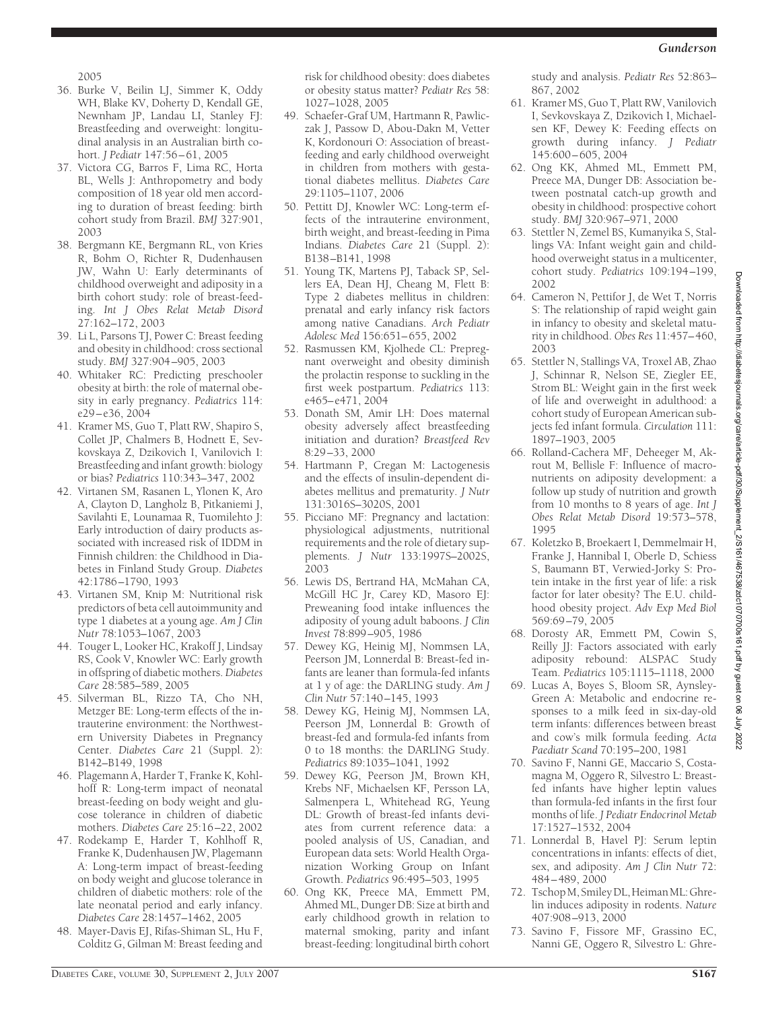2005

- 36. Burke V, Beilin LJ, Simmer K, Oddy WH, Blake KV, Doherty D, Kendall GE, Newnham JP, Landau LI, Stanley FJ: Breastfeeding and overweight: longitudinal analysis in an Australian birth cohort. *J Pediatr* 147:56 – 61, 2005
- 37. Victora CG, Barros F, Lima RC, Horta BL, Wells J: Anthropometry and body composition of 18 year old men according to duration of breast feeding: birth cohort study from Brazil. *BMJ* 327:901, 2003
- 38. Bergmann KE, Bergmann RL, von Kries R, Bohm O, Richter R, Dudenhausen JW, Wahn U: Early determinants of childhood overweight and adiposity in a birth cohort study: role of breast-feeding. *Int J Obes Relat Metab Disord* 27:162–172, 2003
- 39. Li L, Parsons TJ, Power C: Breast feeding and obesity in childhood: cross sectional study. *BMJ* 327:904 –905, 2003
- 40. Whitaker RC: Predicting preschooler obesity at birth: the role of maternal obesity in early pregnancy. *Pediatrics* 114: e29 – e36, 2004
- 41. Kramer MS, Guo T, Platt RW, Shapiro S, Collet JP, Chalmers B, Hodnett E, Sevkovskaya Z, Dzikovich I, Vanilovich I: Breastfeeding and infant growth: biology or bias? *Pediatrics* 110:343–347, 2002
- 42. Virtanen SM, Rasanen L, Ylonen K, Aro A, Clayton D, Langholz B, Pitkaniemi J, Savilahti E, Lounamaa R, Tuomilehto J: Early introduction of dairy products associated with increased risk of IDDM in Finnish children: the Childhood in Diabetes in Finland Study Group. *Diabetes* 42:1786 –1790, 1993
- 43. Virtanen SM, Knip M: Nutritional risk predictors of beta cell autoimmunity and type 1 diabetes at a young age. *Am J Clin Nutr* 78:1053–1067, 2003
- 44. Touger L, Looker HC, Krakoff J, Lindsay RS, Cook V, Knowler WC: Early growth in offspring of diabetic mothers. *Diabetes Care* 28:585–589, 2005
- 45. Silverman BL, Rizzo TA, Cho NH, Metzger BE: Long-term effects of the intrauterine environment: the Northwestern University Diabetes in Pregnancy Center. *Diabetes Care* 21 (Suppl. 2): B142–B149, 1998
- 46. Plagemann A, Harder T, Franke K, Kohlhoff R: Long-term impact of neonatal breast-feeding on body weight and glucose tolerance in children of diabetic mothers. *Diabetes Care* 25:16 –22, 2002
- 47. Rodekamp E, Harder T, Kohlhoff R, Franke K, Dudenhausen JW, Plagemann A: Long-term impact of breast-feeding on body weight and glucose tolerance in children of diabetic mothers: role of the late neonatal period and early infancy. *Diabetes Care* 28:1457–1462, 2005
- 48. Mayer-Davis EJ, Rifas-Shiman SL, Hu F, Colditz G, Gilman M: Breast feeding and

risk for childhood obesity: does diabetes or obesity status matter? *Pediatr Res* 58: 1027–1028, 2005

- 49. Schaefer-Graf UM, Hartmann R, Pawliczak J, Passow D, Abou-Dakn M, Vetter K, Kordonouri O: Association of breastfeeding and early childhood overweight in children from mothers with gestational diabetes mellitus. *Diabetes Care* 29:1105–1107, 2006
- 50. Pettitt DJ, Knowler WC: Long-term effects of the intrauterine environment, birth weight, and breast-feeding in Pima Indians. *Diabetes Care* 21 (Suppl. 2): B138 –B141, 1998
- 51. Young TK, Martens PJ, Taback SP, Sellers EA, Dean HJ, Cheang M, Flett B: Type 2 diabetes mellitus in children: prenatal and early infancy risk factors among native Canadians. *Arch Pediatr Adolesc Med* 156:651– 655, 2002
- 52. Rasmussen KM, Kjolhede CL: Prepregnant overweight and obesity diminish the prolactin response to suckling in the first week postpartum. *Pediatrics* 113: e465– e471, 2004
- 53. Donath SM, Amir LH: Does maternal obesity adversely affect breastfeeding initiation and duration? *Breastfeed Rev* 8:29 –33, 2000
- 54. Hartmann P, Cregan M: Lactogenesis and the effects of insulin-dependent diabetes mellitus and prematurity. *J Nutr* 131:3016S–3020S, 2001
- 55. Picciano MF: Pregnancy and lactation: physiological adjustments, nutritional requirements and the role of dietary supplements. *J Nutr* 133:1997S–2002S, 2003
- 56. Lewis DS, Bertrand HA, McMahan CA, McGill HC Jr, Carey KD, Masoro EJ: Preweaning food intake influences the adiposity of young adult baboons. *J Clin Invest* 78:899 –905, 1986
- 57. Dewey KG, Heinig MJ, Nommsen LA, Peerson JM, Lonnerdal B: Breast-fed infants are leaner than formula-fed infants at 1 y of age: the DARLING study. *Am J Clin Nutr* 57:140 –145, 1993
- 58. Dewey KG, Heinig MJ, Nommsen LA, Peerson JM, Lonnerdal B: Growth of breast-fed and formula-fed infants from 0 to 18 months: the DARLING Study. *Pediatrics* 89:1035–1041, 1992
- 59. Dewey KG, Peerson JM, Brown KH, Krebs NF, Michaelsen KF, Persson LA, Salmenpera L, Whitehead RG, Yeung DL: Growth of breast-fed infants deviates from current reference data: a pooled analysis of US, Canadian, and European data sets: World Health Organization Working Group on Infant Growth. *Pediatrics* 96:495–503, 1995
- 60. Ong KK, Preece MA, Emmett PM, Ahmed ML, Dunger DB: Size at birth and early childhood growth in relation to maternal smoking, parity and infant breast-feeding: longitudinal birth cohort

study and analysis. *Pediatr Res* 52:863– 867, 2002

- 61. Kramer MS, Guo T, Platt RW, Vanilovich I, Sevkovskaya Z, Dzikovich I, Michaelsen KF, Dewey K: Feeding effects on growth during infancy. *J Pediatr* 145:600 – 605, 2004
- 62. Ong KK, Ahmed ML, Emmett PM, Preece MA, Dunger DB: Association between postnatal catch-up growth and obesity in childhood: prospective cohort study. *BMJ* 320:967–971, 2000
- 63. Stettler N, Zemel BS, Kumanyika S, Stallings VA: Infant weight gain and childhood overweight status in a multicenter, cohort study. *Pediatrics* 109:194 –199, 2002
- 64. Cameron N, Pettifor J, de Wet T, Norris S: The relationship of rapid weight gain in infancy to obesity and skeletal maturity in childhood. *Obes Res* 11:457– 460, 2003
- 65. Stettler N, Stallings VA, Troxel AB, Zhao J, Schinnar R, Nelson SE, Ziegler EE, Strom BL: Weight gain in the first week of life and overweight in adulthood: a cohort study of European American subjects fed infant formula. *Circulation* 111: 1897–1903, 2005
- 66. Rolland-Cachera MF, Deheeger M, Akrout M, Bellisle F: Influence of macronutrients on adiposity development: a follow up study of nutrition and growth from 10 months to 8 years of age. *Int J Obes Relat Metab Disord* 19:573–578, 1995
- 67. Koletzko B, Broekaert I, Demmelmair H, Franke J, Hannibal I, Oberle D, Schiess S, Baumann BT, Verwied-Jorky S: Protein intake in the first year of life: a risk factor for later obesity? The E.U. childhood obesity project. *Adv Exp Med Biol* 569:69 –79, 2005
- 68. Dorosty AR, Emmett PM, Cowin S, Reilly JJ: Factors associated with early adiposity rebound: ALSPAC Study Team. *Pediatrics* 105:1115–1118, 2000
- 69. Lucas A, Boyes S, Bloom SR, Aynsley-Green A: Metabolic and endocrine responses to a milk feed in six-day-old term infants: differences between breast and cow's milk formula feeding. *Acta Paediatr Scand* 70:195–200, 1981
- 70. Savino F, Nanni GE, Maccario S, Costamagna M, Oggero R, Silvestro L: Breastfed infants have higher leptin values than formula-fed infants in the first four months of life. *J Pediatr Endocrinol Metab* 17:1527–1532, 2004
- 71. Lonnerdal B, Havel PJ: Serum leptin concentrations in infants: effects of diet, sex, and adiposity. *Am J Clin Nutr* 72: 484 – 489, 2000
- 72. TschopM,SmileyDL,HeimanML:Ghrelin induces adiposity in rodents. *Nature* 407:908 –913, 2000
- 73. Savino F, Fissore MF, Grassino EC, Nanni GE, Oggero R, Silvestro L: Ghre-